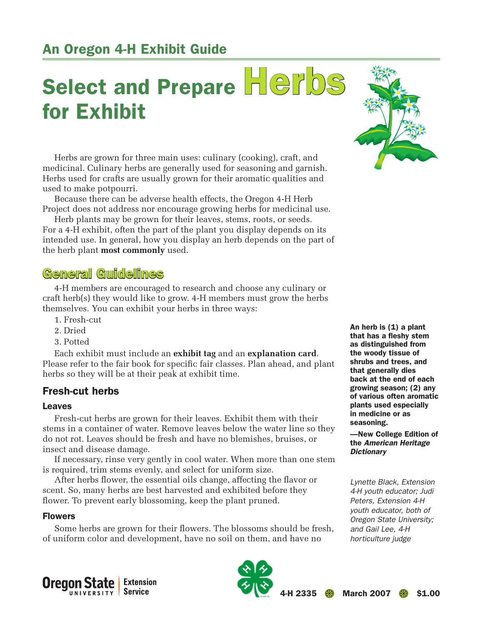# An Oregon 4-H Exhibit Guide

# Select and Prepare Herbs for Exhibit

Herbs are grown for three main uses: culinary (cooking), craft, and medicinal. Culinary herbs are generally used for seasoning and garnish. Herbs used for crafts are usually grown for their aromatic qualities and used to make potpourri.

Because there can be adverse health effects, the Oregon 4-H Herb Project does not address nor encourage growing herbs for medicinal use.

Herb plants may be grown for their leaves, stems, roots, or seeds. For a 4-H exhibit, often the part of the plant you display depends on its intended use. In general, how you display an herb depends on the part of the herb plant **most commonly** used.

# General Guidelines

4-H members are encouraged to research and choose any culinary or craft herb(s) they would like to grow. 4-H members must grow the herbs themselves. You can exhibit your herbs in three ways:

- 1. Fresh-cut
- 2. Dried
- 3. Potted

Each exhibit must include an **exhibit tag** and an **explanation card**. Please refer to the fair book for specific fair classes. Plan ahead, and plant herbs so they will be at their peak at exhibit time.

## Fresh-cut herbs

#### Leaves

Fresh-cut herbs are grown for their leaves. Exhibit them with their stems in a container of water. Remove leaves below the water line so they do not rot. Leaves should be fresh and have no blemishes, bruises, or insect and disease damage.

If necessary, rinse very gently in cool water. When more than one stem is required, trim stems evenly, and select for uniform size.

After herbs flower, the essential oils change, affecting the flavor or scent. So, many herbs are best harvested and exhibited before they flower. To prevent early blossoming, keep the plant pruned.

#### Flowers

Some herbs are grown for their flowers. The blossoms should be fresh, of uniform color and development, have no soil on them, and have no



An herb is (1) a plant that has a fleshy stem as distinguished from the woody tissue of shrubs and trees, and that generally dies back at the end of each growing season; (2) any of various often aromatic plants used especially in medicine or as seasoning.

—New College Edition of the *American Heritage Dictionary*

*Lynette Black, Extension 4-H youth educator; Judi Peters, Extension 4-H youth educator, both of Oregon State University; and Gail Lee, 4-H horticulture judge*



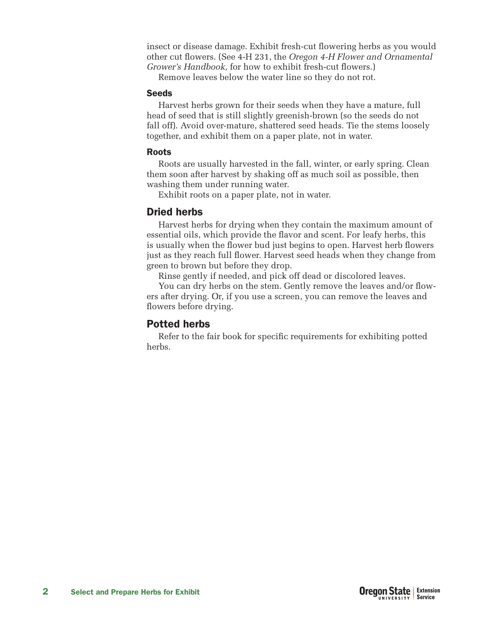insect or disease damage. Exhibit fresh-cut flowering herbs as you would other cut flowers. (See 4-H 231, the *Oregon 4-H Flower and Ornamental Grower's Handbook,* for how to exhibit fresh-cut flowers.)

Remove leaves below the water line so they do not rot.

#### **Seeds**

Harvest herbs grown for their seeds when they have a mature, full head of seed that is still slightly greenish-brown (so the seeds do not fall off). Avoid over-mature, shattered seed heads. Tie the stems loosely together, and exhibit them on a paper plate, not in water.

## Roots

Roots are usually harvested in the fall, winter, or early spring. Clean them soon after harvest by shaking off as much soil as possible, then washing them under running water.

Exhibit roots on a paper plate, not in water.

# Dried herbs

Harvest herbs for drying when they contain the maximum amount of essential oils, which provide the flavor and scent. For leafy herbs, this is usually when the flower bud just begins to open. Harvest herb flowers just as they reach full flower. Harvest seed heads when they change from green to brown but before they drop.

Rinse gently if needed, and pick off dead or discolored leaves.

You can dry herbs on the stem. Gently remove the leaves and/or flowers after drying. Or, if you use a screen, you can remove the leaves and flowers before drying.

## Potted herbs

Refer to the fair book for specific requirements for exhibiting potted herbs.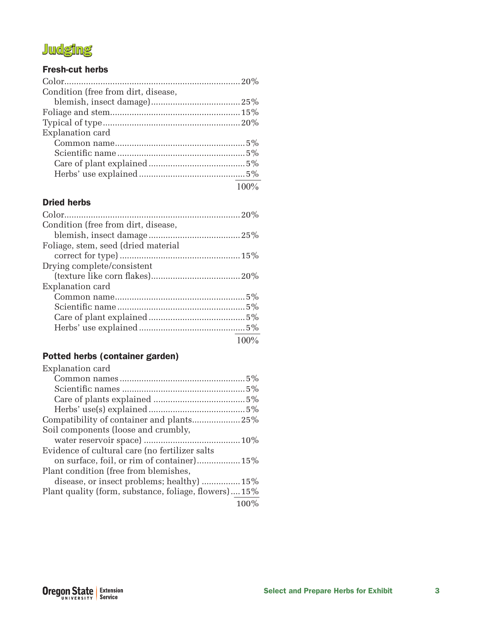# **Judging**

### Fresh-cut herbs

| Condition (free from dirt, disease, |         |
|-------------------------------------|---------|
|                                     |         |
|                                     |         |
|                                     |         |
| Explanation card                    |         |
|                                     |         |
|                                     |         |
|                                     |         |
|                                     |         |
|                                     | $100\%$ |

### Dried herbs

| Condition (free from dirt, disease, |      |
|-------------------------------------|------|
|                                     |      |
| Foliage, stem, seed (dried material |      |
|                                     |      |
| Drying complete/consistent          |      |
|                                     |      |
| Explanation card                    |      |
|                                     |      |
|                                     |      |
|                                     |      |
|                                     |      |
|                                     | 100% |

## Potted herbs (container garden)

| Explanation card                                     |
|------------------------------------------------------|
|                                                      |
|                                                      |
|                                                      |
|                                                      |
| Compatibility of container and plants25%             |
| Soil components (loose and crumbly,                  |
|                                                      |
| Evidence of cultural care (no fertilizer salts       |
| on surface, foil, or rim of container) 15%           |
| Plant condition (free from blemishes,                |
| disease, or insect problems; healthy)  15%           |
| Plant quality (form, substance, foliage, flowers)15% |
| 100%                                                 |